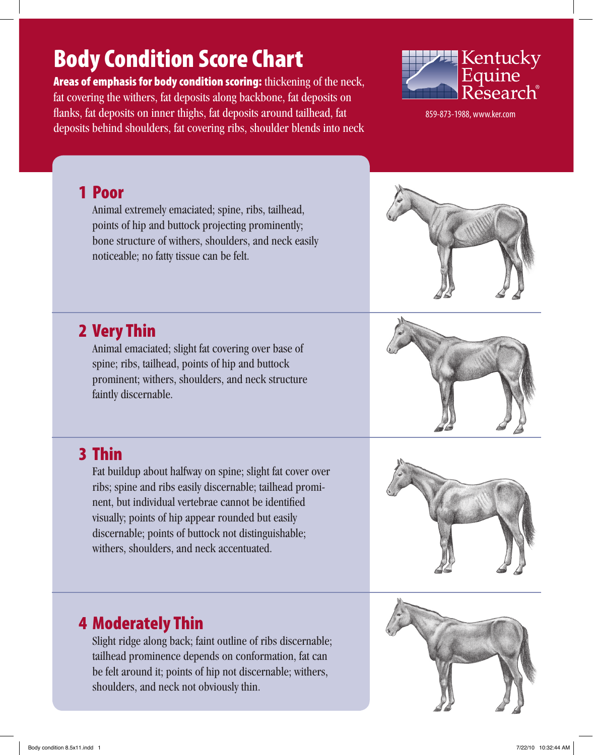# Body Condition Score Chart

Areas of emphasis for body condition scoring: thickening of the neck, fat covering the withers, fat deposits along backbone, fat deposits on flanks, fat deposits on inner thighs, fat deposits around tailhead, fat deposits behind shoulders, fat covering ribs, shoulder blends into neck



859-873-1988, www.ker.com

#### 1 Poor

Animal extremely emaciated; spine, ribs, tailhead, points of hip and buttock projecting prominently; bone structure of withers, shoulders, and neck easily noticeable; no fatty tissue can be felt.

### 2 Very Thin

Animal emaciated; slight fat covering over base of spine; ribs, tailhead, points of hip and buttock prominent; withers, shoulders, and neck structure faintly discernable.

## 3 Thin

 Fat buildup about halfway on spine; slight fat cover over ribs; spine and ribs easily discernable; tailhead prominent, but individual vertebrae cannot be identified visually; points of hip appear rounded but easily discernable; points of buttock not distinguishable; withers, shoulders, and neck accentuated.

# 4 Moderately Thin

Slight ridge along back; faint outline of ribs discernable; tailhead prominence depends on conformation, fat can be felt around it; points of hip not discernable; withers, shoulders, and neck not obviously thin.